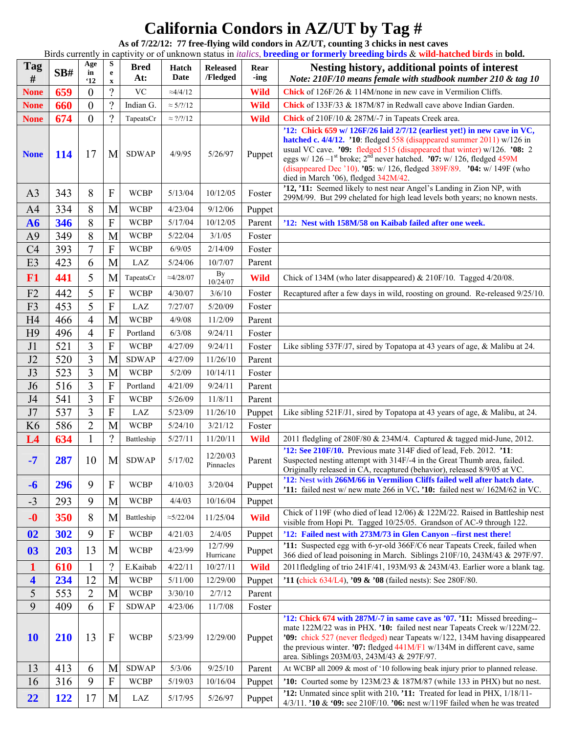## **California Condors in AZ/UT by Tag #**

**As of 7/22/12: 77 free-flying wild condors in AZ/UT, counting 3 chicks in nest caves** 

|                |            |                      |                                 |                    |                     |                             |              | Birds currently in captivity or of unknown status in <i>italics</i> , <b>breeding or formerly breeding birds &amp; wild-hatched birds in bold.</b>                                                                                                                                                                                                                                                                                    |
|----------------|------------|----------------------|---------------------------------|--------------------|---------------------|-----------------------------|--------------|---------------------------------------------------------------------------------------------------------------------------------------------------------------------------------------------------------------------------------------------------------------------------------------------------------------------------------------------------------------------------------------------------------------------------------------|
| Tag<br>#       | SB#        | Age<br>in<br>$^4$ 12 | S<br>$\mathbf e$<br>$\mathbf X$ | <b>Bred</b><br>At: | Hatch<br>Date       | <b>Released</b><br>/Fledged | Rear<br>-ing | Nesting history, additional points of interest<br>Note: 210F/10 means female with studbook number 210 & tag 10                                                                                                                                                                                                                                                                                                                        |
| <b>None</b>    | 659        | 0                    | $\gamma$                        | <b>VC</b>          | $\approx\!\!4/4/12$ |                             | <b>Wild</b>  | Chick of 126F/26 & 114M/none in new cave in Vermilion Cliffs.                                                                                                                                                                                                                                                                                                                                                                         |
| <b>None</b>    | 660        | $\theta$             | $\gamma$                        | Indian G.          | $\approx 5/?\!/12$  |                             | <b>Wild</b>  | Chick of 133F/33 & 187M/87 in Redwall cave above Indian Garden.                                                                                                                                                                                                                                                                                                                                                                       |
| <b>None</b>    | 674        | $\boldsymbol{0}$     | ?                               | TapeatsCr          | $\approx$ ?/?/12    |                             | <b>Wild</b>  | <b>Chick</b> of $210F/10 \& 287M/-7$ in Tapeats Creek area.                                                                                                                                                                                                                                                                                                                                                                           |
| <b>None</b>    | <b>114</b> | 17                   | M                               | <b>SDWAP</b>       | 4/9/95              | 5/26/97                     | Puppet       | '12: Chick 659 w/ 126F/26 laid 2/7/12 (earliest yet!) in new cave in VC,<br>hatched c. $4/4/12$ . '10: fledged 558 (disappeared summer 2011) w/126 in<br>usual VC cave. '09: fledged 515 (disappeared that winter) w/126. '08: 2<br>eggs w/ 126 -1st broke; $2^{n\bar{d}}$ never hatched. '07: w/ 126, fledged 459M<br>(disappeared Dec '10). '05: w/ 126, fledged 389F/89. '04: w/ 149F (who<br>died in March '06), fledged 342M/42. |
| A <sub>3</sub> | 343        | 8                    | $\overline{F}$                  | <b>WCBP</b>        | 5/13/04             | 10/12/05                    | Foster       | '12, '11: Seemed likely to nest near Angel's Landing in Zion NP, with<br>299M/99. But 299 chelated for high lead levels both years; no known nests.                                                                                                                                                                                                                                                                                   |
| A <sub>4</sub> | 334        | 8                    | M                               | <b>WCBP</b>        | 4/23/04             | 9/12/06                     | Puppet       |                                                                                                                                                                                                                                                                                                                                                                                                                                       |
| <b>A6</b>      | 346        | 8                    | ${\bf F}$                       | <b>WCBP</b>        | 5/17/04             | 10/12/05                    | Parent       | '12: Nest with 158M/58 on Kaibab failed after one week.                                                                                                                                                                                                                                                                                                                                                                               |
| A <sub>9</sub> | 349        | 8                    | M                               | <b>WCBP</b>        | 5/22/04             | 3/1/05                      | Foster       |                                                                                                                                                                                                                                                                                                                                                                                                                                       |
| C <sub>4</sub> | 393        | 7                    | $\overline{F}$                  | <b>WCBP</b>        | 6/9/05              | 2/14/09                     | Foster       |                                                                                                                                                                                                                                                                                                                                                                                                                                       |
| E3             | 423        | 6                    | M                               | LAZ                | 5/24/06             | 10/7/07                     | Parent       |                                                                                                                                                                                                                                                                                                                                                                                                                                       |
| F1             | 441        | 5                    | M                               | TapeatsCr          | $\approx$ 4/28/07   | By<br>10/24/07              | <b>Wild</b>  | Chick of 134M (who later disappeared) & 210F/10. Tagged 4/20/08.                                                                                                                                                                                                                                                                                                                                                                      |
| F <sub>2</sub> | 442        | 5                    | F                               | <b>WCBP</b>        | 4/30/07             | 3/6/10                      | Foster       | Recaptured after a few days in wild, roosting on ground. Re-released 9/25/10.                                                                                                                                                                                                                                                                                                                                                         |
| F <sub>3</sub> | 453        | 5                    | F                               | LAZ                | 7/27/07             | 5/20/09                     | Foster       |                                                                                                                                                                                                                                                                                                                                                                                                                                       |
| H <sub>4</sub> | 466        | 4                    | M                               | <b>WCBP</b>        | 4/9/08              | 11/2/09                     | Parent       |                                                                                                                                                                                                                                                                                                                                                                                                                                       |
| H9             | 496        | 4                    | $\overline{F}$                  | Portland           | 6/3/08              | 9/24/11                     | Foster       |                                                                                                                                                                                                                                                                                                                                                                                                                                       |
| J1             | 521        | 3                    | F                               | <b>WCBP</b>        | 4/27/09             | 9/24/11                     | Foster       | Like sibling 537F/J7, sired by Topatopa at 43 years of age, & Malibu at 24.                                                                                                                                                                                                                                                                                                                                                           |
| J2             | 520        | 3                    | M                               | <b>SDWAP</b>       | 4/27/09             | 11/26/10                    | Parent       |                                                                                                                                                                                                                                                                                                                                                                                                                                       |
| J3             | 523        | 3                    | M                               | <b>WCBP</b>        | 5/2/09              | 10/14/11                    | Foster       |                                                                                                                                                                                                                                                                                                                                                                                                                                       |
| J <sub>6</sub> | 516        | 3                    | $\overline{F}$                  | Portland           | 4/21/09             | 9/24/11                     | Parent       |                                                                                                                                                                                                                                                                                                                                                                                                                                       |
| J4             | 541        | 3                    | $\overline{F}$                  | <b>WCBP</b>        | 5/26/09             | 11/8/11                     | Parent       |                                                                                                                                                                                                                                                                                                                                                                                                                                       |
| J7             | 537        | 3                    | F                               | LAZ                | 5/23/09             | 11/26/10                    | Puppet       | Like sibling 521F/J1, sired by Topatopa at 43 years of age, & Malibu, at 24.                                                                                                                                                                                                                                                                                                                                                          |
| K6             | 586        | $\overline{2}$       | M                               | <b>WCBP</b>        | 5/24/10             | 3/21/12                     | Foster       |                                                                                                                                                                                                                                                                                                                                                                                                                                       |
| L <sub>4</sub> | 634        | $\mathbf{1}$         | $\gamma$                        | Battleship         | 5/27/11             | 11/20/11                    | <b>Wild</b>  | 2011 fledgling of 280F/80 & 234M/4. Captured & tagged mid-June, 2012.                                                                                                                                                                                                                                                                                                                                                                 |
| $-7$           | 287        | 10                   | M                               | <b>SDWAP</b>       | 5/17/02             | 12/20/03<br>Pinnacles       | Parent       | '12: See 210F/10. Previous mate 314F died of lead, Feb. 2012. '11:<br>Suspected nesting attempt with 314F/-4 in the Great Thumb area, failed.<br>Originally released in CA, recaptured (behavior), released 8/9/05 at VC.                                                                                                                                                                                                             |
| $-6$           | 296        | 9                    | $\overline{F}$                  | <b>WCBP</b>        | 4/10/03             | 3/20/04                     | Puppet       | '12: Nest with 266M/66 in Vermilion Cliffs failed well after hatch date.<br>'11: failed nest w/ new mate 266 in VC. '10: failed nest w/ $162M/62$ in VC.                                                                                                                                                                                                                                                                              |
| $-3$           | 293        | 9                    | M                               | <b>WCBP</b>        | 4/4/03              | 10/16/04                    | Puppet       |                                                                                                                                                                                                                                                                                                                                                                                                                                       |
| $-0$           | 350        | 8                    | M                               | Battleship         | $\approx$ 5/22/04   | 11/25/04                    | <b>Wild</b>  | Chick of 119F (who died of lead $12/06$ ) & $122M/22$ . Raised in Battleship nest<br>visible from Hopi Pt. Tagged 10/25/05. Grandson of AC-9 through 122.                                                                                                                                                                                                                                                                             |
| 02             | 302        | 9                    | $\overline{F}$                  | <b>WCBP</b>        | 4/21/03             | 2/4/05                      | Puppet       | '12: Failed nest with 273M/73 in Glen Canyon --first nest there!                                                                                                                                                                                                                                                                                                                                                                      |
| 03             | 203        | 13                   | M                               | <b>WCBP</b>        | 4/23/99             | 12/7/99<br>Hurricane        | Puppet       | '11: Suspected egg with 6-yr-old 366F/C6 near Tapeats Creek, failed when<br>366 died of lead poisoning in March. Siblings 210F/10, 243M/43 & 297F/97.                                                                                                                                                                                                                                                                                 |
| $\mathbf{1}$   | 610        | $\mathbf{1}$         | $\gamma$                        | E.Kaibab           | 4/22/11             | 10/27/11                    | <b>Wild</b>  | 2011 fledgling of trio 241F/41, 193M/93 & 243M/43. Earlier wore a blank tag.                                                                                                                                                                                                                                                                                                                                                          |
| 4              | 234        | 12                   | M                               | <b>WCBP</b>        | 5/11/00             | 12/29/00                    | Puppet       | <b>'11</b> (chick 634/L4), '09 & '08 (failed nests): See 280F/80.                                                                                                                                                                                                                                                                                                                                                                     |
| 5              | 553        | $\overline{2}$       | M                               | <b>WCBP</b>        | 3/30/10             | 2/7/12                      | Parent       |                                                                                                                                                                                                                                                                                                                                                                                                                                       |
| 9              | 409        | 6                    | F                               | <b>SDWAP</b>       | 4/23/06             | 11/7/08                     | Foster       |                                                                                                                                                                                                                                                                                                                                                                                                                                       |
| <b>10</b>      | 210        | 13                   | $\mathbf{F}$                    | <b>WCBP</b>        | 5/23/99             | 12/29/00                    | Puppet       | '12: Chick 674 with 287M/-7 in same cave as '07. '11: Missed breeding--<br>mate 122M/22 was in PHX. '10: failed nest near Tapeats Creek w/122M/22.<br>'09: chick 527 (never fledged) near Tapeats w/122, 134M having disappeared<br>the previous winter. '07: fledged 441M/F1 w/134M in different cave, same<br>area. Siblings 203M/03, 243M/43 & 297F/97.                                                                            |
| 13             | 413        | 6                    | M                               | <b>SDWAP</b>       | 5/3/06              | 9/25/10                     | Parent       | At WCBP all 2009 & most of '10 following beak injury prior to planned release.                                                                                                                                                                                                                                                                                                                                                        |
| 16             | 316        | 9                    | $\overline{F}$                  | <b>WCBP</b>        | 5/19/03             | 10/16/04                    | Puppet       | '10: Courted some by 123M/23 & 187M/87 (while 133 in PHX) but no nest.                                                                                                                                                                                                                                                                                                                                                                |
| 22             | 122        | 17                   | M                               | LAZ                | 5/17/95             | 5/26/97                     | Puppet       | '12: Unmated since split with 210. '11: Treated for lead in PHX, 1/18/11-<br>4/3/11. '10 & '09: see 210F/10. '06: nest w/119F failed when he was treated                                                                                                                                                                                                                                                                              |